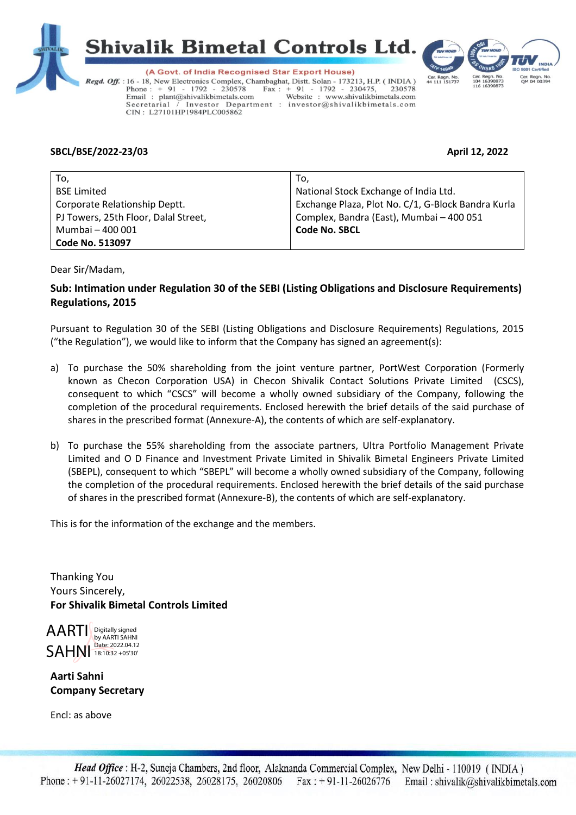



(A Govt. of India Recognised Star Export House) Regd. Off. : 16 - 18, New Electronics Complex, Chambaghat, Distt. Solan - 173213, H.P. (INDIA) Phone:  $+91 - 1792 - 230578$ <br>Email: plant@shivalikbimetals.com Fax : + 91 - 1792 - 230475, 230578<br>
Nebsite : www.shivalikbimetals.com Investor Department : investor@shivalikbimetals.com Secretarial CIN: L27101HP1984PLC005862



## **SBCL/BSE/2022-23/03 April 12, 2022**

| To.                                  | To,                                                |
|--------------------------------------|----------------------------------------------------|
| <b>BSE Limited</b>                   | National Stock Exchange of India Ltd.              |
| Corporate Relationship Deptt.        | Exchange Plaza, Plot No. C/1, G-Block Bandra Kurla |
| PJ Towers, 25th Floor, Dalal Street, | Complex, Bandra (East), Mumbai - 400 051           |
| Mumbai - 400 001                     | <b>Code No. SBCL</b>                               |
| <b>Code No. 513097</b>               |                                                    |

Dear Sir/Madam,

## **Sub: Intimation under Regulation 30 of the SEBI (Listing Obligations and Disclosure Requirements) Regulations, 2015**

Pursuant to Regulation 30 of the SEBI (Listing Obligations and Disclosure Requirements) Regulations, 2015 ("the Regulation"), we would like to inform that the Company has signed an agreement(s):

- a) To purchase the 50% shareholding from the joint venture partner, PortWest Corporation (Formerly known as Checon Corporation USA) in Checon Shivalik Contact Solutions Private Limited (CSCS), consequent to which "CSCS" will become a wholly owned subsidiary of the Company, following the completion of the procedural requirements. Enclosed herewith the brief details of the said purchase of shares in the prescribed format (Annexure-A), the contents of which are self-explanatory.
- b) To purchase the 55% shareholding from the associate partners, Ultra Portfolio Management Private Limited and O D Finance and Investment Private Limited in Shivalik Bimetal Engineers Private Limited (SBEPL), consequent to which "SBEPL" will become a wholly owned subsidiary of the Company, following the completion of the procedural requirements. Enclosed herewith the brief details of the said purchase of shares in the prescribed format (Annexure-B), the contents of which are self-explanatory.

This is for the information of the exchange and the members.

Thanking You Yours Sincerely, **For Shivalik Bimetal Controls Limited**



**Aarti Sahni Company Secretary**

Encl: as above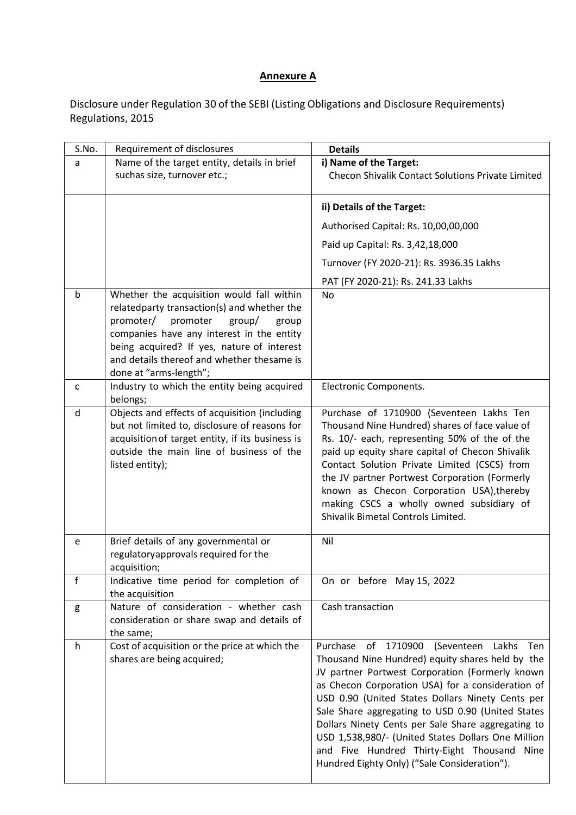## **Annexure A**

Disclosure under Regulation 30 of the SEBI (Listing Obligations and Disclosure Requirements) Regulations, 2015

| S.No.        | Requirement of disclosures                                                                                                                                                                                                                                                                              | <b>Details</b>                                                                                                                                                                                                                                                                                                                                                                                                                                                                                                                          |
|--------------|---------------------------------------------------------------------------------------------------------------------------------------------------------------------------------------------------------------------------------------------------------------------------------------------------------|-----------------------------------------------------------------------------------------------------------------------------------------------------------------------------------------------------------------------------------------------------------------------------------------------------------------------------------------------------------------------------------------------------------------------------------------------------------------------------------------------------------------------------------------|
| a            | Name of the target entity, details in brief                                                                                                                                                                                                                                                             | i) Name of the Target:                                                                                                                                                                                                                                                                                                                                                                                                                                                                                                                  |
|              | suchas size, turnover etc.;                                                                                                                                                                                                                                                                             | <b>Checon Shivalik Contact Solutions Private Limited</b>                                                                                                                                                                                                                                                                                                                                                                                                                                                                                |
|              |                                                                                                                                                                                                                                                                                                         | ii) Details of the Target:                                                                                                                                                                                                                                                                                                                                                                                                                                                                                                              |
|              |                                                                                                                                                                                                                                                                                                         | Authorised Capital: Rs. 10,00,00,000                                                                                                                                                                                                                                                                                                                                                                                                                                                                                                    |
|              |                                                                                                                                                                                                                                                                                                         | Paid up Capital: Rs. 3,42,18,000                                                                                                                                                                                                                                                                                                                                                                                                                                                                                                        |
|              |                                                                                                                                                                                                                                                                                                         | Turnover (FY 2020-21): Rs. 3936.35 Lakhs                                                                                                                                                                                                                                                                                                                                                                                                                                                                                                |
|              |                                                                                                                                                                                                                                                                                                         | PAT (FY 2020-21): Rs. 241.33 Lakhs                                                                                                                                                                                                                                                                                                                                                                                                                                                                                                      |
| b            | Whether the acquisition would fall within<br>relatedparty transaction(s) and whether the<br>promoter/<br>promoter<br>group/<br>group<br>companies have any interest in the entity<br>being acquired? If yes, nature of interest<br>and details thereof and whether thesame is<br>done at "arms-length"; | No                                                                                                                                                                                                                                                                                                                                                                                                                                                                                                                                      |
| $\mathsf{C}$ | Industry to which the entity being acquired<br>belongs;                                                                                                                                                                                                                                                 | Electronic Components.                                                                                                                                                                                                                                                                                                                                                                                                                                                                                                                  |
| d            | Objects and effects of acquisition (including<br>but not limited to, disclosure of reasons for<br>acquisition of target entity, if its business is<br>outside the main line of business of the<br>listed entity);                                                                                       | Purchase of 1710900 (Seventeen Lakhs Ten<br>Thousand Nine Hundred) shares of face value of<br>Rs. 10/- each, representing 50% of the of the<br>paid up equity share capital of Checon Shivalik<br>Contact Solution Private Limited (CSCS) from<br>the JV partner Portwest Corporation (Formerly<br>known as Checon Corporation USA), thereby<br>making CSCS a wholly owned subsidiary of<br>Shivalik Bimetal Controls Limited.                                                                                                          |
| e            | Brief details of any governmental or<br>regulatoryapprovals required for the<br>acquisition;                                                                                                                                                                                                            | Nil                                                                                                                                                                                                                                                                                                                                                                                                                                                                                                                                     |
| f            | Indicative time period for completion of<br>the acquisition                                                                                                                                                                                                                                             | On or before May 15, 2022                                                                                                                                                                                                                                                                                                                                                                                                                                                                                                               |
| g            | Nature of consideration - whether cash<br>consideration or share swap and details of<br>the same;                                                                                                                                                                                                       | Cash transaction                                                                                                                                                                                                                                                                                                                                                                                                                                                                                                                        |
| h            | Cost of acquisition or the price at which the<br>shares are being acquired;                                                                                                                                                                                                                             | 1710900<br>Purchase<br>of<br>(Seventeen<br>Lakhs<br>Ten<br>Thousand Nine Hundred) equity shares held by the<br>JV partner Portwest Corporation (Formerly known<br>as Checon Corporation USA) for a consideration of<br>USD 0.90 (United States Dollars Ninety Cents per<br>Sale Share aggregating to USD 0.90 (United States<br>Dollars Ninety Cents per Sale Share aggregating to<br>USD 1,538,980/- (United States Dollars One Million<br>and Five Hundred Thirty-Eight Thousand Nine<br>Hundred Eighty Only) ("Sale Consideration"). |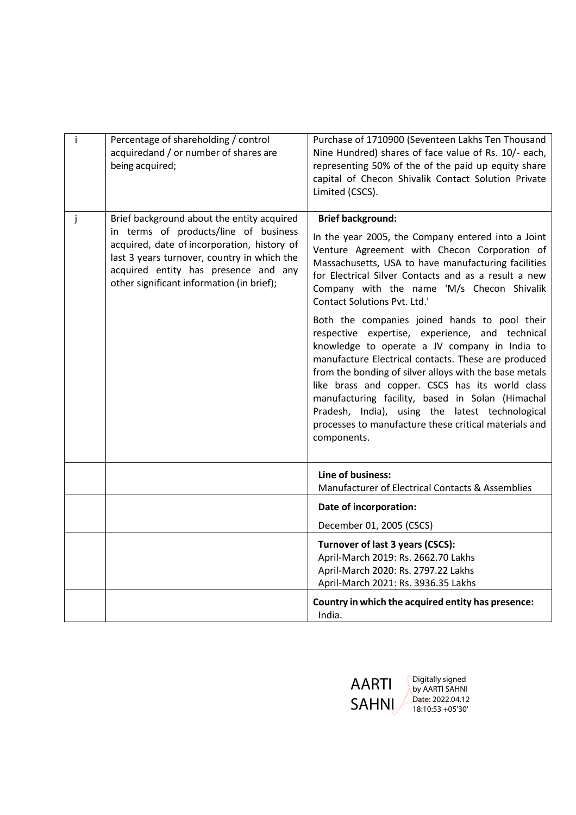| j. | Percentage of shareholding / control                                                 | Purchase of 1710900 (Seventeen Lakhs Ten Thousand                                                    |
|----|--------------------------------------------------------------------------------------|------------------------------------------------------------------------------------------------------|
|    | acquiredand / or number of shares are                                                | Nine Hundred) shares of face value of Rs. 10/- each,                                                 |
|    | being acquired;                                                                      | representing 50% of the of the paid up equity share                                                  |
|    |                                                                                      | capital of Checon Shivalik Contact Solution Private<br>Limited (CSCS).                               |
|    |                                                                                      |                                                                                                      |
| j  | Brief background about the entity acquired                                           | <b>Brief background:</b>                                                                             |
|    | in terms of products/line of business<br>acquired, date of incorporation, history of | In the year 2005, the Company entered into a Joint                                                   |
|    | last 3 years turnover, country in which the                                          | Venture Agreement with Checon Corporation of<br>Massachusetts, USA to have manufacturing facilities  |
|    | acquired entity has presence and any                                                 | for Electrical Silver Contacts and as a result a new                                                 |
|    | other significant information (in brief);                                            | Company with the name 'M/s Checon Shivalik<br><b>Contact Solutions Pvt. Ltd.'</b>                    |
|    |                                                                                      | Both the companies joined hands to pool their                                                        |
|    |                                                                                      | respective expertise, experience, and technical                                                      |
|    |                                                                                      | knowledge to operate a JV company in India to<br>manufacture Electrical contacts. These are produced |
|    |                                                                                      | from the bonding of silver alloys with the base metals                                               |
|    |                                                                                      | like brass and copper. CSCS has its world class<br>manufacturing facility, based in Solan (Himachal  |
|    |                                                                                      | Pradesh, India), using the latest technological                                                      |
|    |                                                                                      | processes to manufacture these critical materials and                                                |
|    |                                                                                      | components.                                                                                          |
|    |                                                                                      |                                                                                                      |
|    |                                                                                      | Line of business:                                                                                    |
|    |                                                                                      | Manufacturer of Electrical Contacts & Assemblies                                                     |
|    |                                                                                      | Date of incorporation:                                                                               |
|    |                                                                                      | December 01, 2005 (CSCS)                                                                             |
|    |                                                                                      | Turnover of last 3 years (CSCS):                                                                     |
|    |                                                                                      | April-March 2019: Rs. 2662.70 Lakhs<br>April-March 2020: Rs. 2797.22 Lakhs                           |
|    |                                                                                      | April-March 2021: Rs. 3936.35 Lakhs                                                                  |
|    |                                                                                      | Country in which the acquired entity has presence:                                                   |
|    |                                                                                      | India.                                                                                               |

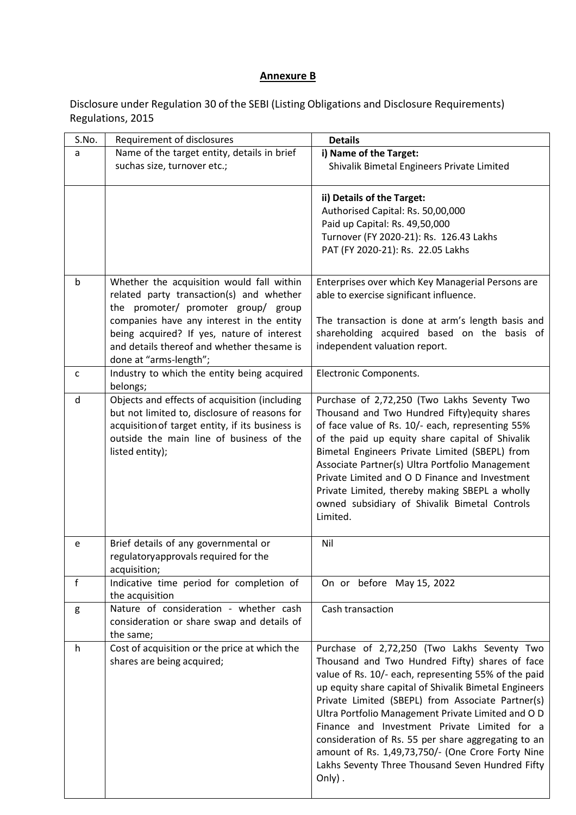## **Annexure B**

Disclosure under Regulation 30 of the SEBI (Listing Obligations and Disclosure Requirements) Regulations, 2015

| S.No. | Requirement of disclosures                                                                     | <b>Details</b>                                                                               |
|-------|------------------------------------------------------------------------------------------------|----------------------------------------------------------------------------------------------|
| a     | Name of the target entity, details in brief                                                    | i) Name of the Target:                                                                       |
|       | suchas size, turnover etc.;                                                                    | Shivalik Bimetal Engineers Private Limited                                                   |
|       |                                                                                                |                                                                                              |
|       |                                                                                                | ii) Details of the Target:                                                                   |
|       |                                                                                                | Authorised Capital: Rs. 50,00,000                                                            |
|       |                                                                                                | Paid up Capital: Rs. 49,50,000                                                               |
|       |                                                                                                | Turnover (FY 2020-21): Rs. 126.43 Lakhs                                                      |
|       |                                                                                                | PAT (FY 2020-21): Rs. 22.05 Lakhs                                                            |
|       |                                                                                                |                                                                                              |
| b     | Whether the acquisition would fall within                                                      | Enterprises over which Key Managerial Persons are                                            |
|       | related party transaction(s) and whether                                                       | able to exercise significant influence.                                                      |
|       | the promoter/ promoter group/ group                                                            |                                                                                              |
|       | companies have any interest in the entity                                                      | The transaction is done at arm's length basis and                                            |
|       | being acquired? If yes, nature of interest                                                     | shareholding acquired based on the basis of                                                  |
|       | and details thereof and whether thesame is                                                     | independent valuation report.                                                                |
|       | done at "arms-length";                                                                         |                                                                                              |
| C     | Industry to which the entity being acquired                                                    | Electronic Components.                                                                       |
|       | belongs;                                                                                       |                                                                                              |
| d     | Objects and effects of acquisition (including<br>but not limited to, disclosure of reasons for | Purchase of 2,72,250 (Two Lakhs Seventy Two<br>Thousand and Two Hundred Fifty) equity shares |
|       | acquisition of target entity, if its business is                                               | of face value of Rs. 10/- each, representing 55%                                             |
|       | outside the main line of business of the                                                       | of the paid up equity share capital of Shivalik                                              |
|       | listed entity);                                                                                | Bimetal Engineers Private Limited (SBEPL) from                                               |
|       |                                                                                                | Associate Partner(s) Ultra Portfolio Management                                              |
|       |                                                                                                | Private Limited and O D Finance and Investment                                               |
|       |                                                                                                | Private Limited, thereby making SBEPL a wholly                                               |
|       |                                                                                                | owned subsidiary of Shivalik Bimetal Controls                                                |
|       |                                                                                                | Limited.                                                                                     |
|       |                                                                                                |                                                                                              |
| e     | Brief details of any governmental or                                                           | Nil                                                                                          |
|       | regulatoryapprovals required for the                                                           |                                                                                              |
|       | acquisition;                                                                                   |                                                                                              |
| f     | Indicative time period for completion of                                                       | On or before May 15, 2022                                                                    |
| g     | the acquisition<br>Nature of consideration - whether cash                                      | Cash transaction                                                                             |
|       | consideration or share swap and details of                                                     |                                                                                              |
|       | the same;                                                                                      |                                                                                              |
| h     | Cost of acquisition or the price at which the                                                  | Purchase of 2,72,250 (Two Lakhs Seventy Two                                                  |
|       | shares are being acquired;                                                                     | Thousand and Two Hundred Fifty) shares of face                                               |
|       |                                                                                                | value of Rs. 10/- each, representing 55% of the paid                                         |
|       |                                                                                                | up equity share capital of Shivalik Bimetal Engineers                                        |
|       |                                                                                                | Private Limited (SBEPL) from Associate Partner(s)                                            |
|       |                                                                                                | Ultra Portfolio Management Private Limited and O D                                           |
|       |                                                                                                | Finance and Investment Private Limited for a                                                 |
|       |                                                                                                | consideration of Rs. 55 per share aggregating to an                                          |
|       |                                                                                                | amount of Rs. 1,49,73,750/- (One Crore Forty Nine                                            |
|       |                                                                                                | Lakhs Seventy Three Thousand Seven Hundred Fifty                                             |
|       |                                                                                                | $Only)$ .                                                                                    |
|       |                                                                                                |                                                                                              |